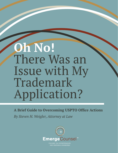# **Oh No!** There Was an Issue with My Trademark Application?

**A Brief Guide to Overcoming USPTO Office Actions**

*By Steven H. Weigler, Attorney at Law*



**FOCUSED ON ENTREPRENEURS** AND EMERGING BUSINESSES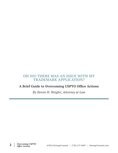# **OH NO! THERE WAS AN ISSUE WITH MY TRADEMARK APPLICATION?**

## **A Brief Guide to Overcoming USPTO Office Actions**

*By Steven H. Weigler, Attorney at Law*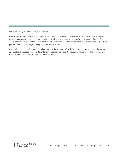©2016 by EmergeCounsel. All rights reserved.

No part of this publication may be reproduced, stored in a retrieval system or transmitted in any form or by any means, electronic, mechanical, photocopying, recording or otherwise, without prior permission of EmergeCounsel. The exception would be in the case of brief quotations embodied in the critical articles or reviews and pages where permission is specifically granted by the publisher or author.

Although every precaution has been taken to verify the accuracy of the information contained herein, the author and publisher assume no responsibility for any errors or omissions. No liability is assumed for damages that may result from the use of information contained within.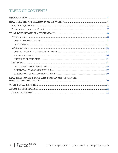# **TABLE OF CONTENTS**

| NOW THAT I UNDERSTAND WHY I GOT AN OFFICE ACTION, |  |
|---------------------------------------------------|--|
|                                                   |  |
|                                                   |  |
|                                                   |  |
|                                                   |  |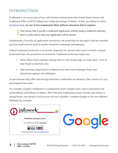# <span id="page-4-0"></span>**INTRODUCTION**

Trademark is an arcane area of law, and statistics demonstrate that United States Patent and Trademark Office (USPTO) filings face a high percentage of failure. In fact, according to a [2013](https://journals.law.stanford.edu/sites/default/files/stanford-technology-law-review-stlr/online/dotrademarklawyersmatter.pdf)  [Stanford study,](https://journals.law.stanford.edu/sites/default/files/stanford-technology-law-review-stlr/online/dotrademarklawyersmatter.pdf) **six out of ten trademarks filed without attorneys fail to register.** 

> *That means that if you file a trademark application without using a trademark attorney, there's a 60% chance that your application will be denied.*

Furthermore, if you file an application incorrectly, the protection for the mark could be canceled and you could even be sued by another brand for trademark infringement.

Federal trademark protection is extremely important for anyone who wants to create a unique brand and enjoy the protection of exclusivity. Trademark protection helps you:

- Deter others from remotely coming close to your brand, logo, or trade name—even if your brand is relatively new.
- Take necessary legal action in federal court and receive damages from, and injunctions against, any infringers.

In part because they offer such strong protection, trademarks are property (like a home or a car), and property has value.

For example, Google's trademark is considered its most valuable asset, and is estimated to be worth billions and billions of dollars. Why? Because trademarks protect brands, and without a strong brand, your goods or services are not very valuable—compare Google to the now-defunct InfoSeek, for example.



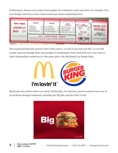Furthermore, almost every major brand applies for trademarks early and often. For example, Five Guys Burger and Fries (a fast-casual restaurant chain) trademarked this:



This trademark basically protects their entire menu—as well as the look and feel—in one fell swoop. And even though their main product is hamburgers, their mark does not come close to other trademarked competitors in the same space, like McDonald's or Burger King.



Big brands also protect their own marks. McDonald's, for instance, protects almost every one of its products through trademark, including the Big Mac and the Filet-O-Fish.

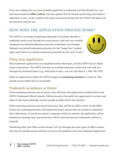<span id="page-6-0"></span>If you are reading this, you have probably applied for a trademark and been denied (i.e., you have been issued an **Office action**). You have gotten this far because protecting your brand is important to you—so let's explore the issues you may be facing with the USPTO and figure out the best next step for you.

# **HOW DOES THE APPLICATION PROCESS WORK?**

The USPTO is in charge of policing trademarks. Everybody who files a trademark needs to go through the same process, and even very wealthy companies are denied trademark protection sometimes. For example, Walmart was denied trademark protection for the "happy face" symbol, right, and Twitter was denied trademark protection for the word "tweet."



# Filing Your Application

Most trademark applications are completed online these days, and the USPTO has in-depth online instructions. The USPTO also has an excellent assistance center that will walk you through any technical issues (e.g., what form to use)—you can call them at 1-800-786-9199.

When an application is filed, the USPTO assigns an **examining attorney** to review it. This usually occurs within four to six months.

# Trademark Acceptance or Denial

If the examining attorney sees no issues, they will move the application to publication in the USPTO Trademark Official Gazette. Publication gives the public the opportunity to review and object to the mark (although very few people actually look at the Gazette).

If the examining attorney sees perceived issues, they will file an Office action. In the Office action, the examining attorney will explain the issues and provide six months to respond to their objection(s). If you do not submit a response within six months, the application will be abandoned, meaning that your protection will be removed and your trademark could be in jeopardy.

Wondering what your Office action means? Let's go through the main types of Office actions, why they are usually issued, and how to correct the problems with your trademark application.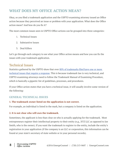# <span id="page-7-0"></span>**WHAT DOES MY OFFICE ACTION MEAN?**

Okay, so you filed a trademark application and the USPTO examining attorney issued an Office action because they perceived an issue or problem with your application. What does the Office action mean? And how do you fix it?

The most common issues seen in USPTO Office actions can be grouped into three categories:

- 1. Technical Issues
- 2. Substantive Issues
- 3. Deal Killers

Let's go through each category to see what your Office action means and how you can fix the issues with your trademark application.

## Technical Issues

Statistics gathered by the USPTO show that over 80% of trademarks filed have one or more [technical issues that require a response.](http://legalsolutions.thomsonreuters.com/law-products/Treatises/Practitioners-Trademark-Manual-of-Examining-Procedure-2016-1-ed/p/102128524) This is because trademark law is very technical, and USPTO examining attorneys need to follow the Trademark Manual of Examining Procedure, which is basically a gigantic list of guidelines, processes, and procedures.

If your Office action states that you have a technical issue, it will usually involve some version of the following:

## **GENERAL TECHNICAL ISSUES**

## **1. The trademark owner listed on the application is not correct.**

For example, an individual is listed in the mark, but a company is listed on the application.

## **2. It is not clear who will own the trademark.**

Sometimes, the applicant is less than clear on who is actually applying for the trademark. Most entrepreneurs register their intellectual property to their entity (e.g., XYZ LLC as opposed to Joe Smith, who is the owner). If you want the trademark to register to the entity, include the entity's registration in your application (if the company is an LLC or corporation, this information can be found at your state's secretary of state website or in your personal records).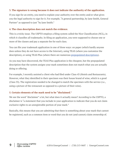#### **3. The signature is wrong because it does not indicate the authority of the application.**

If you sign for an entity, you need to explain your authority over the entity and/or what gives you the legal authority to sign for it. For example, "A general partnership, by Jane Smith, General Partner" as opposed to just "by Jane Smith."

#### **4. The class description does not match the evidence.**

This is a tricky issue. The USPTO employs a filing system called the Nice Classification (NCL), in which it classifies all trademarks. In filing an application, you were supposed to choose one or more of the classes and pay a separate fee for each class.

You can file your trademark application in one of three ways: on paper (which hardly anyone does unless they do not have access to the Internet), using TEAS (where you customize the description), or using TEAS Plus (where there are numerous [prepopulated descriptions](http://tess2.uspto.gov/netahtml/tidm.html)).

As you may have discovered, the TEAS Plus application is the cheapest, but the prepopulated description that the system assigns your mark sometimes does not match what you are actually doing or offering.

For example, I recently assisted a client who had filed under Class 43 (Hotels and Restaurants). However, what they identified in their specimen was their house brand of wine, which is a good (Class 33). The registration needed to be changed to match the specimen with the service (i.e., using a picture of the restaurant as opposed to a picture of their wine).

#### **5. Certain elements of the mark need to be "disclaimed."**

We see the word "disclaimer" a lot, but what does it actually mean? According to the USPTO, a disclaimer is "a statement that you include in your application to indicate that you do not claim exclusive rights to an unregistrable portion of your mark."

Basically, this means that you are admitting that there is something about your mark that cannot be registered, such as a common item or word that you do not (and cannot) claim ownership of.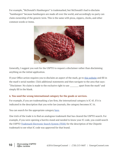For example, "McDonald's Hamburgers" is trademarked, but McDonald's had to disclaim "hamburgers" because hamburgers are made all over the world, and accordingly no party can claim ownership of the generic term. This is the same with pizza, zippers, clocks, and other common words or items.



Generally, I suggest you wait for the USPTO to request a disclaimer rather than disclaiming anything on the initial application.

If your Office action requires you to disclaim an aspect of the mark, go to [this website](http://teas.uspto.gov/office/roa/) and fill in the mark's serial number. Click additional statements and then navigate to the area that says: "Disclaimer: No claim is made to the exclusive right to use \_\_\_\_\_\_\_\_\_ apart from the mark" and simply fill in the blank.

#### **6. You used the wrong international category for the goods or services.**

For example, if you are trademarking a law firm, the international category is IC 45. If it is indicated in the description that you write law journals, the category becomes IC 16.

You can search for the appropriate category [here.](http://tess2.uspto.gov/netahtml/tidm.html)

One trick of the trade is to find an analogous trademark that has cleared the USPTO search. For example, if you were opening a burrito stand and needed to know your IC code, you could search the USPTO [Trademark Electronic Search System \(TESS\)](http://tmsearch.uspto.gov/bin/gate.exe?f=tess&state=4805:lh976v.1.1) for the description of the Chipotle trademark to see what IC code was approved for that brand.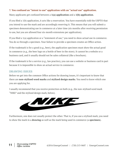#### <span id="page-10-0"></span>**7. You confused an "intent to use" application with an "actual use" application.**

Many applicants get confused between a **1(a) application** and a **1(b) application**.

If you filed a 1(b) application, it acts like a reservation. You have essentially told the USPTO that you intend to use the mark and are accordingly reserving it. This means that you will submit a specimen demonstrating use in commerce at a later time (six months after receiving permission to use, but you are allowed four six-month extensions per application).

If you filed a 1(a) application or a "statement of use," you need to show actual use in commerce. You do so through a specimen. Your failure to provide a specimen creates an Office action.

If the trademark is for a good (e.g., beer), the application specimen must show the actual good in commerce (e.g., the beer logo on a bottle of beer in the store). It cannot be a website or a business card, and it usually should not be sales collateral (like a brochure).

If the trademark is for a service (e.g., law practice), you can use a website or business card in part because it is impossible to show an actual service in commerce.

## **DRAWING ISSUES**

Before we get into the common Office actions for drawing issues, it's important to know that there are **non-stylized word marks** and **stylized design marks**. You need to know which one you are applying for.

I usually recommend that you receive protection on both (e.g., the non-stylized word mark "NIKE" and the stylized design mark, below).



Furthermore, one does not usually protect the other. That is, if you use a stylized mark, you need to show the mark in a **drawing** as well as the mark being used in commerce (a **specimen**).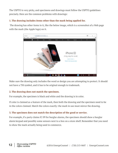The USPTO is very picky, and specimens and drawings must follow the USPTO guidelines precisely. Here are the common problems with drawings:

## **1. The drawing includes items other than the mark being applied for.**

 The drawing has other items in it, like the below image, which is a screenshot of a Web page with the mark (the Apple logo) on it.



Make sure the drawing only includes the word or design you are attempting to protect. It should not have a TM symbol, and it has to be original enough to trademark.

#### **2. The drawing does not match the specimen.**

For example, the specimen is black and white and the drawing is in color.

If color is claimed as a feature of the mark, then both the drawing and the specimen need to be in the colors claimed. Match the colors exactly: the mark in use must mirror the drawing.

## **3. The specimen does not match the description of the good or service.**

For example, if a party claims IC 09 for burglar alarms, the specimen should show a burglar alarm keypad and possibly some sensors next to a box on a store shelf. Remember that you need to show the mark actually being used in commerce.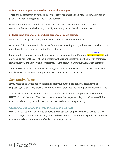#### <span id="page-12-0"></span>**4. You claimed a good as a service, or a service as a good.**

There are 45 categories of goods and services classified under the USPTO's Nice Classification (NCL). The first 35 are **goods**. The rest are **services**.

Goods are something tangible (like a burrito). Services are something intangible (like the restaurant that serves the burrito). The Big Mac is a good. McDonald's is a service.

#### **5. There is no evidence of use where evidence of use is claimed.**

If you filed a 1(a) application, you needed to show the mark in commerce.

Using a mark in commerce is a fact-specific exercise, meaning that you have to establish that you are selling the good or service in the United States.

For example, if you live in Canada and bring a pie to your sister in Montana once and awhile and only charge her for the cost of the ingredients, that is not actually using the mark in commerce. However, if you are actively and consistently selling pies, you are using the mark in commerce. in a while

Your USPTO examining attorney is usually going to take your word for it; however, your mark may be subject to cancelation if you are less than truthful on this matter.

## Substantive Issues

If you received an Office action indicating that your mark is too generic, descriptive, or suggestive, or that it may cause a likelihood of confusion, you are looking at a substantive issue.

Trademark attorneys who address these types of issues look for analogous cases where the USPTO allowed the mark. They then write a substantive response (a legal brief) where—if the evidence exists—they are able to argue the case to the examining attorney.

#### **GENERIC, DESCRIPTIVE, OR SUGGESTIVE TERMS**

USPTO Office actions that refer to **generic**, **descriptive**, or **suggestive** terms have to do with what the law, called the Lanham Act, allows to be trademarked. Under these guidelines, **fanciful marks** and **arbitrary marks** are afforded the most protection.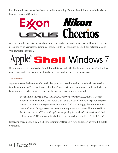Fanciful marks are marks that have no built-in meaning. Famous fanciful marks include Nikon, Exxon, Lexus, and Cheerios.



Arbitrary marks are existing words with no relation to the goods or services with which they are presumed to be associated. Examples include Apple (for computers), Shell (for petroleum), and Windows (for software).

# ple Shell Windows 7

If your mark is not perceived as fanciful or arbitrary under the Lanham Act, you are afforded less protection, and your mark is most likely too generic, descriptive, or suggestive.

## **Too Generic**

A **generic term** is the name of a particular genus or class that an individual article or service is only a member of (e.g., aspirin or cellophane). A generic term is not protectable, and when a trademarked term becomes too generic, the mark's registration is canceled.

> For example, in *Frito-Lay N. Am., Inc. v. Princeton Vanguard, LLC*, the U.S. Court of Appeals for the Federal Circuit ruled that using the term "Pretzel Crisp" for a type of pretzel crackers was too generic to be trademarked. Accordingly, the trademark was canceled, even though a company was branding under that name. This allowed Frito Lay to use the term "Pretzel Crisp." In a surprising twist, the Court overturned their ruling in May 2015 and accordingly, Frito Lay can no longer utilize "Pretzel Crisp."

Receiving this objection from a USTPO examining attorney is rare, and it can be very difficult to overcome.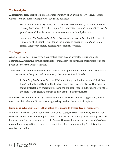#### **Too Descriptive**

A **descriptive term** identifies a characteristic or quality of an article or service (e.g., "Vision Center" for a business offering optical goods and services).

> For example, in *Alcatraz Media, Inc. v. Chesapeake Marine Tours, Inc. dba Watermark Cruises*, the Trademark Trial and Appeal Board (TTAB) canceled "Annapolis Tours" for guided tours of cities because the name was merely a descriptive term.

Similarly, in *DuoProSS Meditech Co. v. Inviro Medical Devices, Ltd.*, the U.S. Court of Appeals for the Federal Circuit found the marks and design of "Snap" and "Snap Simply Safer" were merely descriptive for medical syringes.

#### **Too Suggestive**

As opposed to a descriptive term, a **suggestive term** may be protected if it is primarily distinctive. A suggestive term suggests, rather than describes, particular characteristics of the goods or services to which it applies.

A suggestive term requires the consumer to exercise imagination in order to draw a conclusion as to the nature of the goods and services (e.g., Coppertone, Roach Motel).

> In *In re King Productions, Inc.*, the TTAB sought registration for the mark "Rock Your Body" for books and DVDs in the fields of dance, exercise, and fitness. This mark was found protectable by trademark because the applicant made a sufficient showing that the mark was suggestive enough to have acquired distinctiveness.

If the USPTO examining attorney considers your mark too descriptive or suggestive, you will need to explain why it is distinctive enough to be placed on the Principal Register.

#### **Explaining Why Your Mark is Distinctive as Opposed to Descriptive or Suggestive**

If the mark has been used in commerce for over five years, the USPTO will likely assume that the mark is descriptive. For example, "Denver Country Club" is at first glance a descriptive mark because there is a country club and it is in Denver. However, because the country club has been around for so long in Denver, there is a connotation of secondary meaning (i.e., it is not just a country club in Denver).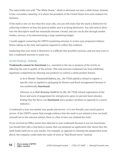<span id="page-15-0"></span>The same holds true with "The White House," which is obviously not just a white house. Instead, it has a secondary meaning: it is where the president of the United States lives and conducts his business.

If the mark is new (or less than five years old), you can still claim that the mark is distinctive by collecting evidence on how the general public sees it as being distinctive. You will need to show how the descriptive mark has essentially become a brand, and you can do this through market studies, surveys, or by demonstrating a large marketing budget.

I would suggest contacting the USPTO examining attorney to review your proposed evidence before taking on the time and expense required to collect this evidence.

Explaining that your mark is distinctive is a difficult (but possible!) process, and you may want to hire a trademark attorney to assist you.

## **FUNCTIONAL TERMS**

**Trademarks cannot be functional** (i.e., essential to the use or purpose of the article, or affecting the cost or quality of the article). This rule prevents trademark law from inhibiting legitimate competition by allowing one producer to control a useful product feature.

> In *In re Florists' Transworld Delivery, Inc.*, the TTAB upheld a refusal to register a specific color as applied to packaging for flowers and floral arrangements because it was aesthetically **functional**.

Likewise, in *re Pohl-Boskamp GmbH & Co. KG*, the TTAB refused registration of the flavor and scent of peppermint for nitroglycerin spray (to prevent heart attacks), finding that the flavor was **functional** and a product attribute as opposed to a source indicator.

A trademark is how you market your goods and service—it is not literally your actual good or service. If the USPTO cannot find enough evidence that the mark is not related to how you hold yourself out to the relevant market, there is a flaw in how you claimed the mark.

If you received an Office action that objected to your trademark because it was too functional, you should then take a step back to assure that you prepared an application that shows how the mark holds itself out to your market. For example, as opposed to claiming the peppermint scent above, the company could claim the name of scent as "Bad Breath Saver" instead.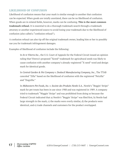## <span id="page-16-0"></span>**LIKELIHOOD OF CONFUSION**

Likelihood of confusion means that your mark is similar enough to another that confusion can be expected. When goods are totally unrelated, there can be no likelihood of confusion. When goods are in related fields, however, marks can be confusing. **This is the most common trademark refusal.** It is essential to do a thorough trademark search through a trademark attorney or another experienced source to avoid losing your trademark due to the likelihood of confusion (also called a "confusion refusal").

A confusion refusal can also tip off the original trademark owner, leading him or her to possibly sue you for trademark infringement damages.

Examples of likelihood of confusion include the following:

In *In re Viterra Inc.*, the U.S. Court of Appeals for the Federal Circuit issued an opinion ruling that Viterra's proposed "Xceed" trademark for agricultural seeds was likely to cause confusion with another company's already-registered "X-seed" word and design mark for identical goods.

In *Central Garden & Pet Company v. Doskocil Manufacturing Company, Inc.*, The TTAB canceled "Zilla" based on the likelihood of confusion with the registered "Petzilla" and "Dogzilla."

In *Midwestern Pet Foods, Inc. v. Societe des Produits Nestle S.A.*, Nestle's "Beggin' Strips" mark for pet treats has been in use since 1988 and was registered in 1989. A company tried to trademark "Waggin' Strips" and was prohibited from doing so because the Federal Circuit indicated that a) Nestle's "Beggin' Strips" was filed first, b) Nestle had large strength in the mark, c) the marks were overly similar, d) the products were identical, and e) trade channels and customers for the product overlapped.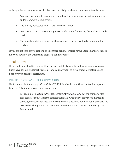<span id="page-17-0"></span>Although there are many factors in play here, you likely received a confusion refusal because:

- Your mark is similar to another registered mark in appearance, sound, connotation, and/or commercial impression.
- The already-registered mark is well known or famous.
- You are found not to have the right to exclude others from using the mark or a similar mark.
- The already-registered mark is within your market (e.g., fast food), or in a similar market.

If you are not sure how to respond to this Office action, consider hiring a trademark attorney to help you navigate the waters and prepare a solid response.

## Deal Killers

If you find yourself addressing an Office action that deals with the following issues, you most likely have serious trademark problems, and you may want to hire a trademark attorney and possibly even consider rebranding.

## **DILUTION OF FAMOUS TRADEMARKS**

If a trademark is famous (e.g., Coca-Cola, AT&T), it is afforded additional protection separate from the "likelihood of confusion" protection.

> For example, in *Defining Presence Marketing Group, Inc. (DPMG)*, the company filed four separate applications to register the mark "Crackberry" for various marketing services, computer services, online chat rooms, electronic bulletin-board services, and assorted clothing items. The mark was denied protection because "Blackberry" is a famous mark.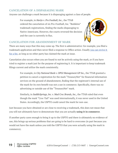## <span id="page-18-0"></span>**CANCELATION OF A DISPARAGING MARK**

Anyone can challenge a mark because it is disparaging against a class of people.

For example, in *Harijo v. Pro Football, Inc.*, the TTAB ordered the cancelation of six Pro-Football, Inc. "Redskins" trademark registrations, finding the marks disparaging to Native Americans. However, the courts reversed the decision and the case is currently in flux.



## **CANCELATION FOR ABANDONMENT OF MARK**

There are many ways that this may come up. The first is administrative: for example, you filed a trademark application and then never filed a response to Office action. Usually [you can revive it](http://www.uspto.gov/trademarks-application-process/filing-online/petition-forms)  [for a fee](http://www.uspto.gov/trademarks-application-process/filing-online/petition-forms), as long as no other party has claimed the mark at issue.

Cancelation also occurs when you are found to not be actively using the mark, or if you have tried to register a mark just for the purpose of registering it. It is important to keep trademark filings current and utilize the mark consistently.

> For example, in *City National Bank v. OPGI Management GP Inc.,* the TTAB granted a petition to cancel a registration for the mark "TreasuryNet" for financial information services on the ground of abandonment, finding that the registrant's internal use of the mark for its own benefit was not a use in commerce. Specifically, there was no advertising or outside use of the "TreasuryNet" mark.

> Similarly, in *SaddleSprings, Inc. v. Mad Croc Brands, Inc.,* the TTAB ruled that even though the mark "Croc-Tail" was used internationally, it was never used in the United States. Accordingly, the USPTO could cancel the mark for non-use.

Just because you have obtained or are close to receiving a trademark, this does not mean that you will not ultimately have to demonstrate that you are actually **using it in commerce**.

If another party cares enough to bring it up to the USPTO and there is ultimately no evidence of use, this brings up serious problems that are going to be hard to overcome (in part because you would not have the mark unless you told the USPTO that you were actually using the mark in commerce).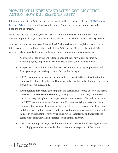# <span id="page-19-0"></span>**NOW THAT I UNDERSTAND WHY I GOT AN OFFICE ACTION, HOW DO I RESPOND TO IT?**

Filing a response to an Office action can be daunting. If you decide to file the USPTO Response [to Office Action form](http://www.uspto.gov/sites/default/files/ROA.pdf) yourself, you can do so [here](http://teas.uspto.gov/office/roa/). (Filling in the serial number will autopopulate the document.)

If you mess up your response, you will usually get another chance, but not always. Your USPTO attorney might call you, explain the problem, and then issue what is called a **priority action**.

Alternatively, your attorney could issue a **final Office action**, which explains that you have failed to amend the problems raised in the initial Office action. If you receive a final Office action, it is time to call a trademark attorney. Things to remember in your response:

- Your response (and your entire trademark application) is a legal document. Accordingly, anything you write can be used against you in a court of law.
- Pay particular attention to what the USPTO examining attorney emphasizes, and focus your response on the particular factors they bring up.
- USPTO examining attorneys are presumed to be correct in their determination that there is a likelihood of confusion. That is partially why this particular objection can be difficult to argue successfully.
- A **coexistence agreement** (showing that the parties have worked out how the marks can coexist) or a **consent agreement** (showing that the senior party has allowed the junior party the right to coexist, or does not see an issue) will usually overcome the USPTO examining attorney's objection. However, notifying a party who has a trademark that you may be emulating is very risky, and the outcome may be a cease and desist order and perhaps even a threatened lawsuit against you. Accordingly, if you are in this situation, I strongly encourage you to strategize and negotiate the terms of the contract with an experienced trademark attorney.
- USPTO examining attorneys have limited time and patience for addressing this issue. Accordingly, remember to consider their issues and be respectful of their time.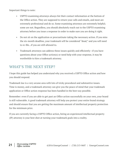<span id="page-20-0"></span>Important things to note:

- USPTO examining attorneys always list their contact information at the bottom of the Office action. They are supposed to return your calls and emails, and most are extremely professional and do so. Some examining attorneys are extremely helpful; some are not. Regardless, you should absolutely reach out to the USPTO examining attorney before you issue a response in order to make sure you are doing it right.
- Do not sit on the application or procrastinate taking the necessary action. If you miss the six-month deadline, your trademark will be considered "dead," and you will need to re-file...if you are still allowed to.
- Trademark attorneys can address these issues quickly and efficiently—if you have questions about your Office action(s) or need help with your response, it may be worthwhile to hire a trademark attorney.

# **WHAT'S THE NEXT STEP?**

I hope this guide has helped you understand why you received a USPTO Office action and how you should respond.

Trademark law is a very arcane area with lots of tricky procedural and substantive issues. Time is money, and a trademark attorney can give you the peace of mind that your trademark application or Office action response has been handled in the best way possible.

Remember: even if you are able to get past an Office action successfully on your own, your brand is still vulnerable. A good trademark attorney will help you protect your entire brand strategy and should ensure that you are getting the maximum amount of intellectual property protection for the minimum price.

If you are currently facing a USPTO Office action, hiring an experienced intellectual property (IP) attorney is your best shot at turning your trademark goals into a reality.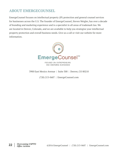# <span id="page-21-0"></span>**ABOUT EMERGECOUNSEL**

EmergeCounsel focuses on intellectual property (IP) protection and general counsel services for businesses across the U.S. The founder of EmergeCounsel, Steven Weigler, has over a decade of branding and marketing experience and is a specialist in all areas of trademark law. We are located in Denver, Colorado, and we are available to help you strategize your intellectual property protection and overall business needs. Give us a call or visit our website for more information.



FOCUSED ON ENTREPRENEURS AND EMERGING BUSINESSES

3900 East Mexico Avenue | Suite 300 | Denver, CO 80210

(720) 213-0687 | EmergeCounsel.com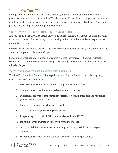# <span id="page-22-0"></span>Introducing TotalTM

EmergeCounsel's number-one mission is to offer you the maximum amount of trademark protection at a minimum cost. As a TotalTM client, you will benefit from comprehensive services usually provided to major corporations by the large (and very expensive) law firms. We are your partners in securing and protecting your trademark.

## **TOTALTM'S OFFICE ACTION RESPONSE SERVICE**

Are you facing a USPTO Office action on your trademark application? EmergeCounsel has years of technical trademark experience, and can quickly define the problem and offer expert advice on how to overcome it.

For technical office actions, we will issue a response for a flat rate of \$285 (this is included in the TotalTM Complete Trademark Package).

For complex office actions (likelihood of confusion, descriptiveness, etc.), we will research, strategize, and submit a response for \$285 per hour or a \$1,000 flat fee—whichever is most costeffective for you.

## **TOTALTM'S COMPLETE TRADEMARK PACKAGE**

The TotalTM Complete Trademark Package has everything you'll need to plan for, register, and protect your trademark, including:

- 1. **Strategic discussions** about your branding and trademark needs.
- 2. A comprehensive **trademark search** using multiple sources.
- 3. Suggestions for proper **trademark categorization** to minimize cost and maximize your trademark's protection.
- 4. Phone or in-person **consultations** as needed.
- 5. USPTO trademark **application preparation**.
- 6. **Responding to technical Office actions** issued by the USPTO.
- 7. **Filing all forms and paperwork** throughout the process.
- 8. One year of **defensive monitoring** alerting you to any possible threats to your trademark.
- 9. **Discounted rates** for EmergeCounsel's other customized legal services.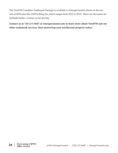The TotalTM Complete Trademark Package is available to EmergeCounsel clients at the low rate of \$850 plus the USPTO filing fee, which ranges from \$225 to \$325. There are discounts for multiple marks—contact us for pricing.

**Contact us at 720-213-0687 or emergecounsel.com to learn more about TotalTM and our other trademark services. Start protecting your intellectual property today!**